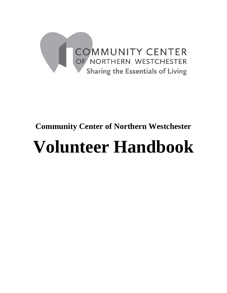

# **Community Center of Northern Westchester**

# **Volunteer Handbook**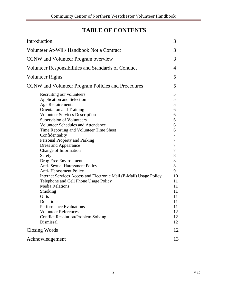# **TABLE OF CONTENTS**

| Introduction                                                                                                                                                                                                                                                                                                                                                                                                                                                                                                                                                                                                                                                                                                                                                                                               | 3                                                                                                                                        |
|------------------------------------------------------------------------------------------------------------------------------------------------------------------------------------------------------------------------------------------------------------------------------------------------------------------------------------------------------------------------------------------------------------------------------------------------------------------------------------------------------------------------------------------------------------------------------------------------------------------------------------------------------------------------------------------------------------------------------------------------------------------------------------------------------------|------------------------------------------------------------------------------------------------------------------------------------------|
| Volunteer At-Will/ Handbook Not a Contract                                                                                                                                                                                                                                                                                                                                                                                                                                                                                                                                                                                                                                                                                                                                                                 | 3                                                                                                                                        |
| <b>CCNW</b> and Volunteer Program overview                                                                                                                                                                                                                                                                                                                                                                                                                                                                                                                                                                                                                                                                                                                                                                 | 3                                                                                                                                        |
| Volunteer Responsibilities and Standards of Conduct                                                                                                                                                                                                                                                                                                                                                                                                                                                                                                                                                                                                                                                                                                                                                        | 4                                                                                                                                        |
| Volunteer Rights                                                                                                                                                                                                                                                                                                                                                                                                                                                                                                                                                                                                                                                                                                                                                                                           | 5                                                                                                                                        |
| CCNW and Volunteer Program Policies and Procedures                                                                                                                                                                                                                                                                                                                                                                                                                                                                                                                                                                                                                                                                                                                                                         | 5                                                                                                                                        |
| Recruiting our volunteers<br>Application and Selection<br><b>Age Requirements</b><br><b>Orientation and Training</b><br><b>Volunteer Services Description</b><br><b>Supervision of Volunteers</b><br><b>Volunteer Schedules and Attendance</b><br>Time Reporting and Volunteer Time Sheet<br>Confidentiality<br>Personal Property and Parking<br>Dress and Appearance<br>Change of Information<br>Safety<br>Drug Free Environment<br>Anti- Sexual Harassment Policy<br><b>Anti-Harassment Policy</b><br>Internet Services Access and Electronic Mail (E-Mail) Usage Policy<br>Telephone and Cell Phone Usage Policy<br><b>Media Relations</b><br>Smoking<br>Gifts<br>Donations<br><b>Performance Evaluations</b><br><b>Volunteer References</b><br><b>Conflict Resolution/Problem Solving</b><br>Dismissal | 5<br>5<br>5<br>6<br>6<br>6<br>6<br>6<br>7<br>7<br>7<br>7<br>8<br>8<br>8<br>9<br>10<br>11<br>11<br>11<br>11<br>11<br>11<br>12<br>12<br>12 |
| Closing Words                                                                                                                                                                                                                                                                                                                                                                                                                                                                                                                                                                                                                                                                                                                                                                                              | 12                                                                                                                                       |
| Acknowledgement                                                                                                                                                                                                                                                                                                                                                                                                                                                                                                                                                                                                                                                                                                                                                                                            | 13                                                                                                                                       |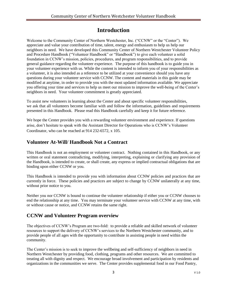# **Introduction**

Welcome to the Community Center of Northern Westchester, Inc. ("CCNW" or the "Center"). We appreciate and value your contribution of time, talent, energy and enthusiasm to help us help our neighbors in need. We have developed this Community Center of Northern Westchester Volunteer Policy and Procedure Handbook ("Volunteer Handbook" or "Handbook") to give each volunteer a solid foundation in CCNW's mission, policies, procedures, and program responsibilities, and to provide general guidance regarding the volunteer experience. The purpose of this handbook is to guide you in your volunteer experience with us. While the content is intended to inform you of your responsibilities as a volunteer, it is also intended as a reference to be utilized at your convenience should you have any questions during your volunteer service with CCNW. The content and materials in this guide may be modified at anytime, in order to provide you with the most updated information available. We appreciate you offering your time and services to help us meet our mission to improve the well-being of the Center's neighbors in need. Your volunteer commitment is greatly appreciated.

To assist new volunteers in learning about the Center and about specific volunteer responsibilities, we ask that all volunteers become familiar with and follow the information, guidelines and requirements presented in this Handbook. Please read this Handbook carefully and keep it for future reference.

We hope the Center provides you with a rewarding volunteer environment and experience. If questions arise, don't hesitate to speak with the Assistant Director for Operations who is CCNW's Volunteer Coordinator, who can be reached at 914 232-6572, x 105.

# **Volunteer At-Will/ Handbook Not a Contract**

This Handbook is not an employment or volunteer contract. Nothing contained in this Handbook, or any written or oral statement contradicting, modifying, interpreting, explaining or clarifying any provision of the Handbook, is intended to create, or shall create, any express or implied contractual obligations that are binding upon either CCNW or you.

This Handbook is intended to provide you with information about CCNW policies and practices that are currently in force. These policies and practices are subject to change by CCNW unilaterally at any time, without prior notice to you.

Neither you nor CCNW is bound to continue the volunteer relationship if either you or CCNW chooses to end the relationship at any time. You may terminate your volunteer service with CCNW at any time, with or without cause or notice, and CCNW retains the same right.

# **CCNW and Volunteer Program overview**

The objectives of CCNW's Program are two-fold: to provide a reliable and skilled network of volunteer resources to support the delivery of CCNW's services to the Northern Westchester community, and to provide people of all ages with the opportunity to contribute in assisting people in need within the community.

The Center's mission is to seek to improve the wellbeing and self-sufficiency of neighbors in need in Northern Westchester by providing food, clothing, programs and other resources. We are committed to treating all with dignity and respect. We encourage broad involvement and participation by residents and organizations in the communities we serve. The Center provides supplemental food in our Food Pantry,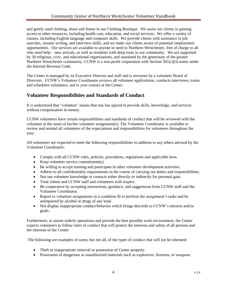and gently used clothing, shoes and linens in our Clothing Boutique. We assist our clients in gaining access to other resources, including health care, education, and social services. We offer a variety of classes, including English language and computer skills. We provide clients with assistance in job searches, resume writing, and interview skills, and we make our clients aware of potential employment opportunities. Our services are available to anyone in need in Northern Westchester, free of charge to all who need help – new arrivals, as well as residents with deep roots in our community. We are supported by 30 religious, civic, and educational organizations, and sustained by the generosity of the greater Northern Westchester community. CCNW is a non-profit corporation with Section 501(c)(3) status under the Internal Revenue Code.

The Center is managed by its Executive Director and staff and is overseen by a volunteer Board of Directors. CCNW's Volunteer Coordinator reviews all volunteer applications, conducts interviews, trains and schedules volunteers, and is your contact at the Center.

# **Volunteer Responsibilities and Standards of Conduct**

It is understood that 'volunteer' means that one has agreed to provide skills, knowledge, and services without compensation in money.

CCNW volunteers have certain responsibilities and standards of conduct that will be reviewed with the volunteer at the onset of his/her volunteer assignment(s). The Volunteer Coordinator is available to review and remind all volunteers of the expectations and responsibilities for volunteers throughout the year.

All volunteers are expected to meet the following responsibilities in addition to any others advised by the Volunteer Coordinator:

- Comply with all CCNW rules, policies, procedures, regulations and applicable laws.
- Keep volunteer service commitment(s).
- Be willing to accept training and participate in other volunteer development activities.
- Adhere to all confidentiality requirements in the course of carrying out duties and responsibilities.
- Not use volunteer knowledge or contacts either directly or indirectly for personal gain.
- Treat clients and CCNW staff and volunteers with respect.
- Be cooperative by accepting instructions, guidance, and suggestions from CCNW staff and the Volunteer Coordinator.
- Report to volunteer assignments in a condition fit to perform the assignment's tasks and be unimpaired by alcohol or drugs of any kind.
- Not display inappropriate conduct/behavior which brings discredit to CCNW's mission and/or goals.

Furthermore, to assure orderly operations and provide the best possible work environment, the Center expects volunteers to follow rules of conduct that will protect the interests and safety of all persons and the interests of the Center.

The following are examples of some, but not all, of the types of conduct that will not be tolerated:

- Theft or inappropriate removal or possession of Center property.
- Possession of dangerous or unauthorized materials such as explosives, firearms, or weapons.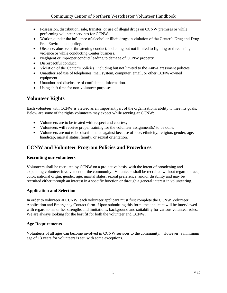- Possession, distribution, sale, transfer, or use of illegal drugs on CCNW premises or while performing volunteer services for CCNW.
- Working under the influence of alcohol or illicit drugs in violation of the Center's Drug and Drug Free Environment policy.
- Obscene, abusive or threatening conduct, including but not limited to fighting or threatening violence or while conducting Center business.
- Negligent or improper conduct leading to damage of CCNW property.
- Disrespectful conduct.
- Violation of the Center's policies, including but not limited to the Anti-Harassment policies.
- Unauthorized use of telephones, mail system, computer, email, or other CCNW-owned equipment.
- Unauthorized disclosure of confidential information.
- Using shift time for non-volunteer purposes.

## **Volunteer Rights**

Each volunteer with CCNW is viewed as an important part of the organization's ability to meet its goals. Below are some of the rights volunteers may expect **while serving at** CCNW:

- Volunteers are to be treated with respect and courtesy.
- Volunteers will receive proper training for the volunteer assignment(s) to be done.
- Volunteers are not to be discriminated against because of race, ethnicity, religion, gender, age, handicap, marital status, family, or sexual orientation.

### **CCNW and Volunteer Program Policies and Procedures**

#### **Recruiting our volunteers**

Volunteers shall be recruited by CCNW on a pro-active basis, with the intent of broadening and expanding volunteer involvement of the community. Volunteers shall be recruited without regard to race, color, national origin, gender, age, marital status, sexual preference, and/or disability and may be recruited either through an interest in a specific function or through a general interest in volunteering.

#### **Application and Selection**

In order to volunteer at CCNW, each volunteer applicant must first complete the CCNW Volunteer Application and Emergency Contact form. Upon submitting this form, the applicant will be interviewed with regard to his or her strengths and limitations, background and suitability for various volunteer roles. We are always looking for the best fit for both the volunteer and CCNW.

#### **Age Requirements**

Volunteers of all ages can become involved in CCNW services to the community. However, a minimum age of 13 years for volunteers is set, with some exceptions.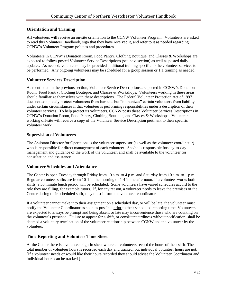#### **Orientation and Training**

All volunteers will receive an on-site orientation to the CCNW Volunteer Program. Volunteers are asked to read this Volunteer Handbook, sign that they have received it, and refer to it as needed regarding CCNW's Volunteer Program policies and procedures.

Volunteers in CCNW's Donation Room, Food Pantry, Clothing Boutique, and Classes & Workshops are expected to follow posted Volunteer Service Descriptions (see next section) as well as posted daily updates. As needed, volunteers may be provided additional training specific to the volunteer services to be performed. Any ongoing volunteers may be scheduled for a group session or 1:1 training as needed.

#### **Volunteer Services Description**

As mentioned in the previous section, Volunteer Service Descriptions are posted in CCNW's Donation Room, Food Pantry, Clothing Boutique, and Classes & Workshops. Volunteers working in these areas should familiarize themselves with these descriptions. The Federal Volunteer Protection Act of 1997 does not completely protect volunteers from lawsuits but "immunizes" certain volunteers from liability under certain circumstances if that volunteer is performing responsibilities under a description of their volunteer services. To help protect its volunteers, CCNW posts these Volunteer Services Descriptions in CCNW's Donation Room, Food Pantry, Clothing Boutique, and Classes & Workshops. Volunteers working off-site will receive a copy of the Volunteer Service Description pertinent to their specific volunteer work.

#### **Supervision of Volunteers**

The Assistant Director for Operations is the volunteer supervisor (as well as the volunteer coordinator) who is responsible for direct management of each volunteer. She/he is responsible for day-to-day management and guidance of the work of the volunteer, and shall be available to the volunteer for consultation and assistance.

#### **Volunteer Schedules and Attendance**

The Center is open Tuesday through Friday from 10 a.m. to 4 p.m. and Saturday from 10 a.m. to 1 p.m. Regular volunteer shifts are from 10-1 in the morning or 1-4 in the afternoon. If a volunteer works both shifts, a 30 minute lunch period will be scheduled. Some volunteers have varied schedules accord to the role they are filling, for example tutors. If, for any reason, a volunteer needs to leave the premises of the Center during their scheduled shift, they must inform the volunteer coordinator.

If a volunteer cannot make it to their assignment on a scheduled day, or will be late, the volunteer must notify the Volunteer Coordinator as soon as possible prior to their scheduled reporting time. Volunteers are expected to always be prompt and being absent or late may inconvenience those who are counting on the volunteer's presence. Failure to appear for a shift, or consistent tardiness without notification, shall be deemed a voluntary termination of the volunteer relationship between CCNW and the volunteer by the volunteer.

#### **Time Reporting and Volunteer Time Sheet**

At the Center there is a volunteer sign-in sheet where all volunteers record the hours of their shift. The total number of volunteer hours is recorded each day and tracked, but individual volunteer hours are not. [If a volunteer needs or would like their hours recorded they should advise the Volunteer Coordinator and individual hours can be tracked.]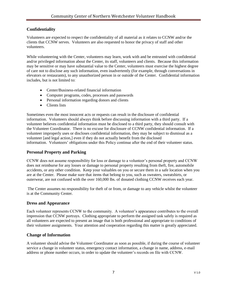#### **Confidentiality**

Volunteers are expected to respect the confidentiality of all material as it relates to CCNW and/or the clients that CCNW serves. Volunteers are also requested to honor the privacy of staff and other volunteers.

While volunteering with the Center, volunteers may learn, work with and be entrusted with confidential and/or privileged information about the Center, its staff, volunteers and clients. Because this information may be sensitive or may have substantial value to the Center, volunteers must exercise the highest degree of care not to disclose any such information, even inadvertently (for example, through conversations in elevators or restaurants), to any unauthorized person in or outside of the Center. Confidential information includes, but is not limited to:

- Center/Business-related financial information
- Computer programs, codes, processes and passwords
- Personal information regarding donors and clients
- Clients lists

Sometimes even the most innocent acts or requests can result in the disclosure of confidential information. Volunteers should always think before discussing information with a third party. If a volunteer believes confidential information must be disclosed to a third party, they should consult with the Volunteer Coordinator. There is no excuse for disclosure of CCNW confidential information. If a volunteer improperly uses or discloses confidential information, they may be subject to dismissal as a volunteer [and legal action,] even if they do not actually benefit from the disclosed information. Volunteers' obligations under this Policy continue after the end of their volunteer status.

#### **Personal Property and Parking**

CCNW does not assume responsibility for loss or damage to a volunteer's personal property and CCNW does not reimburse for any losses or damage to personal property resulting from theft, fire, automobile accidents, or any other condition. Keep your valuables on you or secure them in a safe location when you are at the Center. Please make sure that items that belong to you, such as sweaters, sweatshirts, or outerwear, are not confused with the over 160,000 lbs. of donated clothing CCNW receives each year.

The Center assumes no responsibility for theft of or from, or damage to any vehicle whilst the volunteer is at the Community Center.

#### **Dress and Appearance**

Each volunteer represents CCNW to the community. A volunteer's appearance contributes to the overall impression that CCNW portrays. Clothing appropriate to perform the assigned task safely is required as all volunteers are expected to present an image that is both professional and appropriate to conditions of their volunteer assignments. Your attention and cooperation regarding this matter is greatly appreciated.

#### **Change of Information**

A volunteer should advise the Volunteer Coordinator as soon as possible, if during the course of volunteer service a change in volunteer status, emergency contact information, a change in name, address, e-mail address or phone number occurs, in order to update the volunteer's records on file with CCNW.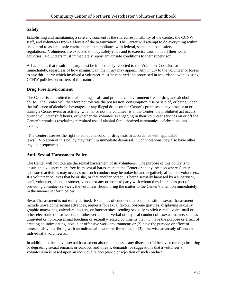#### **Safety**

Establishing and maintaining a safe environment is the shared responsibility of the Center, the CCNW staff, and volunteers from all levels of the organization. The Center will attempt to do everything within its control to assure a safe environment in compliance with federal, state, and local safety regulations. Volunteers are expected to obey safety rules and to exercise caution in all their work activities. Volunteers must immediately report any unsafe conditions to their supervisor.

All accidents that result in injury must be immediately reported to the Volunteer Coordinator immediately, regardless of how insignificant the injury may appear**.** Any injury to the volunteer or losses to any third party which involved a volunteer must be reported and processed in accordance with existing CCNW policies on matters of this nature.

#### **Drug Free Environment**

The Center is committed to maintaining a safe and productive environment free of drug and alcohol abuse. The Center will therefore not tolerate the possession, consumption, use or sale of, or being under the influence of alcoholic beverages or any illegal drugs on the Center's premises at any time, or at or during a Center event or activity, whether or not the volunteer is at the Center, the prohibited act occurs during volunteer shift hours, or whether the volunteer is engaging in their volunteer services on or off the Center's premises (excluding permitted use of alcohol for authorized ceremonies, celebrations, and events).

[The Center reserves the right to conduct alcohol or drug tests in accordance with applicable laws.] Violation of this policy may result in immediate dismissal. Such violations may also have other legal consequences.

#### **Anti- Sexual Harassment Policy**

The Center will not tolerate the sexual harassment of its volunteers. The purpose of this policy is to ensure that volunteers are free from sexual harassment at the Center or at any location where Center sponsored activities may occur, since such conduct may be unlawful and negatively affect our volunteers. If a volunteer believes that he or she, or that another person, is being sexually harassed by a supervisor, staff, volunteer, client, customer, vendor or any other third party with whom they interact as part of providing volunteer services, the volunteer should bring the matter to the Center's attention immediately in the manner set forth below.

Sexual harassment is not easily defined. Examples of conduct that could constitute sexual harassment include unwelcome sexual advances, requests for sexual favors, obscene gestures, displaying sexually graphic magazines, calendars, posters, or Internet sites, sending sexually explicit e-mail, voice-mail or other electronic transmissions, or other verbal, non-verbal or physical conduct of a sexual nature, such as uninvited or non-consensual touching or sexually-related comments that: (1) have the purpose or effect of creating an intimidating, hostile or offensive work environment; or (2) have the purpose or effect of unreasonably interfering with an individual's work performance; or (3) otherwise adversely affects an individual's volunteerism.

In addition to the above, sexual harassment also encompasses any disrespectful behavior through insulting or degrading sexual remarks or conduct, and threats, demands, or suggestions that a volunteer's volunteerism is based upon an individual's acceptance or rejection of such conduct.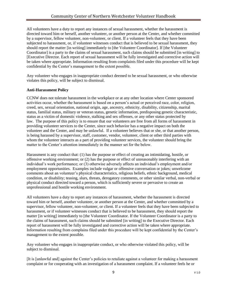All volunteers have a duty to report any instances of sexual harassment, whether the harassment is directed toward him or herself, another volunteer, or another person at the Center, and whether committed by a supervisor, fellow volunteer, non-volunteer, or client. If a volunteer feels that they have been subjected to harassment, or, if volunteer witnesses conduct that is believed to be sexual harassment, they should report the matter [in writing] immediately to [the Volunteer Coordinator]. If [the Volunteer Coordinator] is a party to the claims of sexual harassment, such claims should be submitted [in writing] to [Executive Director. Each report of sexual harassment will be fully investigated and corrective action will be taken where appropriate. Information resulting from complaints filed under this procedure will be kept confidential by the Center's management to the extent possible.

Any volunteer who engages in inappropriate conduct deemed to be sexual harassment, or who otherwise violates this policy, will be subject to dismissal.

#### **Anti-Harassment Policy**

CCNW does not tolerate harassment in the workplace or at any other location where Center sponsored activities occur, whether the harassment is based on a person's actual or perceived race, color, religion, creed, sex, sexual orientation, national origin, age, ancestry, ethnicity, disability, citizenship, marital status, familial status, military or veteran status, genetic information, predisposing genetic characteristic, status as a victim of domestic violence, stalking and sex offenses, or any other status protected by law. The purpose of this policy is to ensure that our volunteers are free from all forms of harassment in providing volunteer services to the Center, since such behavior has a negative impact on both the volunteer and the Center, and may be unlawful. If a volunteer believes that or she, or that another person, is being harassed by a supervisor, staff, customer, vendor, volunteer, client or other third parties with whom the volunteer interacts as a part of providing volunteer services, the volunteer should bring the matter to the Center's attention immediately in the manner set for the below.

Harassment is any conduct that: (1) has the purpose or effect of creating an intimidating, hostile, or offensive working environment; or (2) has the purpose or effect of unreasonably interfering with an individual's work performance; or (3) otherwise adversely affects an individual's employment and/or employment opportunities. Examples include vulgar or offensive conversation or jokes; unwelcome comments about an volunteer's physical characteristics, religious beliefs, ethnic background, medical condition, or disability; teasing, slurs, threats, derogatory comments, or other similar verbal, non-verbal or physical conduct directed toward a person, which is sufficiently severe or pervasive to create an unprofessional and hostile working environment.

All volunteers have a duty to report any instances of harassment, whether the harassment is directed toward him or herself, another volunteer, or another person at the Center, and whether committed by a supervisor, fellow volunteer, non-volunteer, or client. If a volunteer feels that they have been subjected to harassment, or if volunteer witnesses conduct that is believed to be harassment, they should report the matter [in writing] immediately to [the Volunteer Coordinator. If the Volunteer Coordinator is a party to the claims of harassment, such claims should be submitted [in writing] to the Executive Director. Each report of harassment will be fully investigated and corrective action will be taken where appropriate. Information resulting from complains filed under this procedure will be kept confidential by the Center's management to the extent possible.

Any volunteer who engages in inappropriate conduct, or who otherwise violated this policy, will be subject to dismissal.

[It is [unlawful and] against the Center's policies to retaliate against a volunteer for making a harassment complaint or for cooperating with an investigation of a harassment complaint. If a volunteer feels he or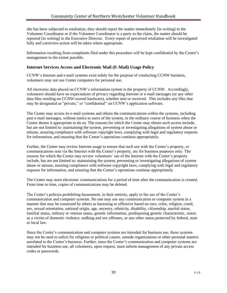she has been subjected to retaliation, they should report the matter immediately [in writing] to the Volunteer Coordinator or if the Volunteer Coordinator is a party to the claim, the matter should be reported [in writing] to the Executive Director. Every report of perceived retaliation will be investigated fully and corrective action will be taken where appropriate.

Information resulting from complaints filed under this procedure will be kept confidential by the Center's management to the extent possible.

#### **Internet Services Access and Electronic Mail (E-Mail) Usage Policy**

CCNW's Internet and e-mail systems exist solely for the purpose of conducting CCNW business, volunteers may not use Center computers for personal use.

All electronic data placed on CCNW's information system is the property of CCNW. Accordingly, volunteers should have no expectations of privacy regarding Internet or e-mail messages (or any other data files residing on CCNW-owned hardware), whether sent or received. This includes any files that may be designated as "private," or "confidential" on CCNW's application software.

The Center may access its e-mail systems and obtain the communications within the systems, including past e-mail messages, without notice to users of the system, in the ordinary course of business when the Center deems it appropriate to do so. The reasons for which the Center may obtain such access include, but are not limited to: maintaining the system, preventing or investigating allegations of system abuse or misuse, assuring compliance with software copyright laws, complying with legal and regulatory requests for information, and ensuring that the Center's operations continue appropriately.

Further, the Center may review Internet usage to ensure that such use with the Center's property, or communications sent via the Internet with the Center's property, are for business purposes only. The reasons for which the Center may review volunteers' use of the Internet with the Center's property include, but are not limited to: maintaining the system, preventing or investigating allegations of system abuse or misuse, assuring compliance with software copyright laws, complying with legal and regulatory requests for information, and ensuring that the Center's operations continue appropriately.

The Center may store electronic communications for a period of time after the communication is created. From time to time, copies of communications may be deleted.

The Center's policies prohibiting harassment, in their entirety, apply to the use of the Center's communication and computer systems. No one may use any communication or computer system in a manner that may be construed by others as harassing or offensive based on race, color, religion, creed, sex, sexual orientation, national origin, age, ancestry, ethnicity, disability, citizenship, marital status, familial status, military or veteran status, genetic information, predisposing genetic characteristic, status as a victim of domestic violence, stalking and sex offenses, or any other status protected by federal, state or local law.

Since the Center's communication and computer systems are intended for business use, these systems may not be used to solicit for religious or political causes, outside organizations or other personal matters unrelated to the Center's business. Further, since the Center's communication and computer systems are intended for business use, all volunteers, upon request, must inform management of any private access codes or passwords.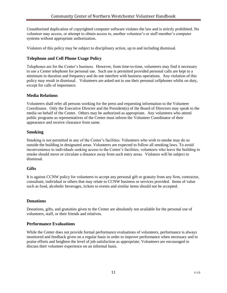Unauthorized duplication of copyrighted computer software violates the law and is strictly prohibited. No volunteer may access, or attempt to obtain access to, another volunteer's or staff member's computer systems without appropriate authorization.

Violators of this policy may be subject to disciplinary action, up to and including dismissal.

#### **Telephone and Cell Phone Usage Policy**

Telephones are for the Center's business. However, from time-to-time, volunteers may find it necessary to use a Center telephone for personal use. Such use is permitted provided personal calls are kept to a minimum in duration and frequency and do not interfere with business operations. Any violation of this policy may result in dismissal. Volunteers are asked not to use their personal cellphones whilst on duty, except for calls of importance.

#### **Media Relations**

Volunteers shall refer all persons working for the press and requesting information to the Volunteer Coordinator. Only the Executive Director and the President(s) of the Board of Directors may speak to the media on behalf of the Center. Others may be authorized as appropriate. Any volunteers who attend public programs as representatives of the Center must inform the Volunteer Coordinator of their appearance and receive clearance from same.

#### **Smoking**

Smoking is not permitted in any of the Center's facilities. Volunteers who wish to smoke may do so outside the building in designated areas. Volunteers are expected to follow all smoking laws. To avoid inconvenience to individuals seeking access to the Center's facilities, volunteers who leave the building to smoke should move or circulate a distance away from such entry areas. Violators will be subject to dismissal.

#### **Gifts**

It is against CCNW policy for volunteers to accept any personal gift or gratuity from any firm, contractor, consultant, individual or others that may relate to CCNW business or services provided. Items of value such as food, alcoholic beverages, tickets to events and similar items should not be accepted.

#### **Donations**

Donations, gifts, and gratuities given to the Center are absolutely not available for the personal use of volunteers, staff, or their friends and relatives.

#### **Performance Evaluations**

While the Center does not provide formal performance evaluations of volunteers, performance is always monitored and feedback given on a regular basis in order to improve performance when necessary and to praise efforts and heighten the level of job satisfaction as appropriate. Volunteers are encouraged to discuss their volunteer experience on an informal basis.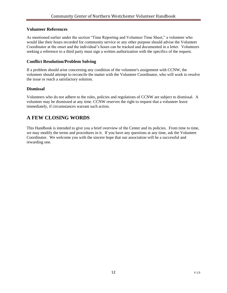#### **Volunteer References**

As mentioned earlier under the section "Time Reporting and Volunteer Time Sheet," a volunteer who would like their hours recorded for community service or any other purpose should advise the Volunteer Coordinator at the onset and the individual's hours can be tracked and documented in a letter. Volunteers seeking a reference to a third party must sign a written authorization with the specifics of the request.

#### **Conflict Resolution/Problem Solving**

If a problem should arise concerning any condition of the volunteer's assignment with CCNW, the volunteer should attempt to reconcile the matter with the Volunteer Coordinator, who will work to resolve the issue or reach a satisfactory solution.

#### **Dismissal**

Volunteers who do not adhere to the rules, policies and regulations of CCNW are subject to dismissal. A volunteer may be dismissed at any time. CCNW reserves the right to request that a volunteer leave immediately, if circumstances warrant such action.

# **A FEW CLOSING WORDS**

This Handbook is intended to give you a brief overview of the Center and its policies. From time to time, we may modify the terms and procedures in it. If you have any questions at any time, ask the Volunteer Coordinator. We welcome you with the sincere hope that our association will be a successful and rewarding one.